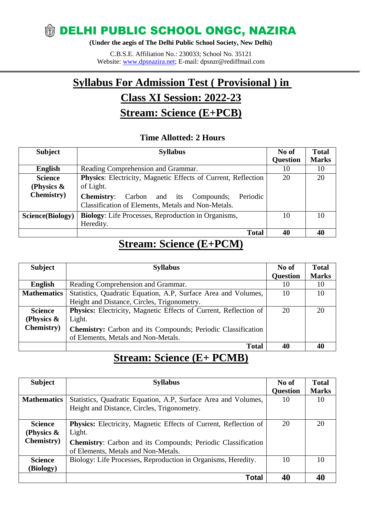## **WELHI PUBLIC SCHOOL ONGC, NAZIRA**

**(Under the aegis of The Delhi Public School Society, New Delhi)**

C.B.S.E. Affiliation No.: 230033; School No. 35121 Website: [www.dpsnazira.net;](http://www.dpsnazira.net/) E-mail: dpsnzr@rediffmail.com

# **Syllabus For Admission Test ( Provisional ) in**

## **Class XI Session: 2022-23**

## **Stream: Science (E+PCB)**

#### **Time Allotted: 2 Hours**

| <b>Subject</b>     | <b>Syllabus</b>                                               | No of           | <b>Total</b> |
|--------------------|---------------------------------------------------------------|-----------------|--------------|
|                    |                                                               | <b>Question</b> | <b>Marks</b> |
| <b>English</b>     | Reading Comprehension and Grammar.                            | 10              | 10           |
| <b>Science</b>     | Physics: Electricity, Magnetic Effects of Current, Reflection | 20              | 20           |
| (Physics $\&$      | of Light.                                                     |                 |              |
| <b>Chemistry</b> ) | <b>Chemistry:</b> Carbon and its Compounds;<br>Periodic       |                 |              |
|                    | Classification of Elements, Metals and Non-Metals.            |                 |              |
| Science(Biology)   | <b>Biology:</b> Life Processes, Reproduction in Organisms,    | 10              | 10           |
|                    | Heredity.                                                     |                 |              |
|                    | <b>Total</b>                                                  | 40              | 40           |

### **Stream: Science (E+PCM)**

| <b>Subject</b>     | <b>Syllabus</b>                                                     | No of           | <b>Total</b> |
|--------------------|---------------------------------------------------------------------|-----------------|--------------|
|                    |                                                                     | <b>Question</b> | <b>Marks</b> |
| <b>English</b>     | Reading Comprehension and Grammar.                                  | 10              | 10           |
| <b>Mathematics</b> | Statistics, Quadratic Equation, A.P, Surface Area and Volumes,      | 10              | 10           |
|                    | Height and Distance, Circles, Trigonometry.                         |                 |              |
| <b>Science</b>     | Physics: Electricity, Magnetic Effects of Current, Reflection of    | 20              | 20           |
| (Physics $\&$      | Light.                                                              |                 |              |
| <b>Chemistry</b> ) | <b>Chemistry:</b> Carbon and its Compounds; Periodic Classification |                 |              |
|                    | of Elements, Metals and Non-Metals.                                 |                 |              |
|                    | <b>Total</b>                                                        | 40              | 40           |

## **Stream: Science (E+ PCMB)**

| <b>Subject</b>     | <b>Syllabus</b>                                                         | No of           | <b>Total</b> |
|--------------------|-------------------------------------------------------------------------|-----------------|--------------|
|                    |                                                                         | <b>Question</b> | <b>Marks</b> |
| <b>Mathematics</b> | Statistics, Quadratic Equation, A.P., Surface Area and Volumes,         | 10              | 10           |
|                    | Height and Distance, Circles, Trigonometry.                             |                 |              |
|                    |                                                                         |                 |              |
| <b>Science</b>     | <b>Physics:</b> Electricity, Magnetic Effects of Current, Reflection of | 20              | 20           |
| (Physics $\&$      | Light.                                                                  |                 |              |
| <b>Chemistry</b> ) | <b>Chemistry:</b> Carbon and its Compounds; Periodic Classification     |                 |              |
|                    | of Elements, Metals and Non-Metals.                                     |                 |              |
| <b>Science</b>     | Biology: Life Processes, Reproduction in Organisms, Heredity.           | 10              | 10           |
| (Biology)          |                                                                         |                 |              |
|                    | Total                                                                   | 40              |              |